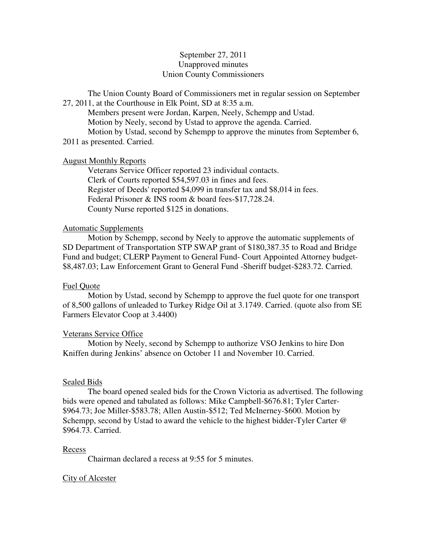# September 27, 2011 Unapproved minutes Union County Commissioners

The Union County Board of Commissioners met in regular session on September 27, 2011, at the Courthouse in Elk Point, SD at 8:35 a.m.

 Members present were Jordan, Karpen, Neely, Schempp and Ustad. Motion by Neely, second by Ustad to approve the agenda. Carried. Motion by Ustad, second by Schempp to approve the minutes from September 6,

2011 as presented. Carried.

# August Monthly Reports

 Veterans Service Officer reported 23 individual contacts. Clerk of Courts reported \$54,597.03 in fines and fees. Register of Deeds' reported \$4,099 in transfer tax and \$8,014 in fees. Federal Prisoner & INS room & board fees-\$17,728.24. County Nurse reported \$125 in donations.

# Automatic Supplements

 Motion by Schempp, second by Neely to approve the automatic supplements of SD Department of Transportation STP SWAP grant of \$180,387.35 to Road and Bridge Fund and budget; CLERP Payment to General Fund- Court Appointed Attorney budget- \$8,487.03; Law Enforcement Grant to General Fund -Sheriff budget-\$283.72. Carried.

# Fuel Quote

 Motion by Ustad, second by Schempp to approve the fuel quote for one transport of 8,500 gallons of unleaded to Turkey Ridge Oil at 3.1749. Carried. (quote also from SE Farmers Elevator Coop at 3.4400)

# Veterans Service Office

 Motion by Neely, second by Schempp to authorize VSO Jenkins to hire Don Kniffen during Jenkins' absence on October 11 and November 10. Carried.

# Sealed Bids

 The board opened sealed bids for the Crown Victoria as advertised. The following bids were opened and tabulated as follows: Mike Campbell-\$676.81; Tyler Carter- \$964.73; Joe Miller-\$583.78; Allen Austin-\$512; Ted McInerney-\$600. Motion by Schempp, second by Ustad to award the vehicle to the highest bidder-Tyler Carter @ \$964.73. Carried.

# Recess

Chairman declared a recess at 9:55 for 5 minutes.

# City of Alcester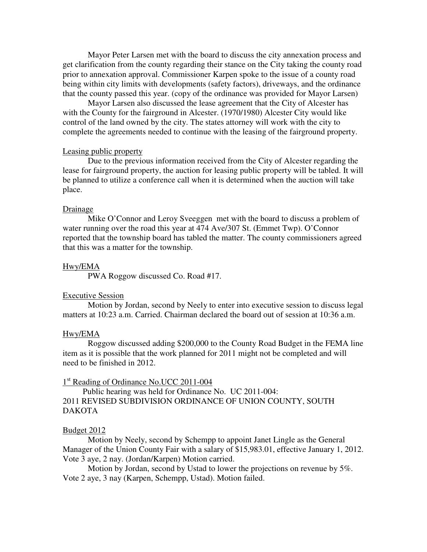Mayor Peter Larsen met with the board to discuss the city annexation process and get clarification from the county regarding their stance on the City taking the county road prior to annexation approval. Commissioner Karpen spoke to the issue of a county road being within city limits with developments (safety factors), driveways, and the ordinance that the county passed this year. (copy of the ordinance was provided for Mayor Larsen)

 Mayor Larsen also discussed the lease agreement that the City of Alcester has with the County for the fairground in Alcester. (1970/1980) Alcester City would like control of the land owned by the city. The states attorney will work with the city to complete the agreements needed to continue with the leasing of the fairground property.

#### Leasing public property

 Due to the previous information received from the City of Alcester regarding the lease for fairground property, the auction for leasing public property will be tabled. It will be planned to utilize a conference call when it is determined when the auction will take place.

#### Drainage

 Mike O'Connor and Leroy Sveeggen met with the board to discuss a problem of water running over the road this year at 474 Ave/307 St. (Emmet Twp). O'Connor reported that the township board has tabled the matter. The county commissioners agreed that this was a matter for the township.

#### Hwy/EMA

PWA Roggow discussed Co. Road #17.

### Executive Session

 Motion by Jordan, second by Neely to enter into executive session to discuss legal matters at 10:23 a.m. Carried. Chairman declared the board out of session at 10:36 a.m.

### Hwy/EMA

 Roggow discussed adding \$200,000 to the County Road Budget in the FEMA line item as it is possible that the work planned for 2011 might not be completed and will need to be finished in 2012.

# 1<sup>st</sup> Reading of Ordinance No.UCC 2011-004

 Public hearing was held for Ordinance No. UC 2011-004: 2011 REVISED SUBDIVISION ORDINANCE OF UNION COUNTY, SOUTH DAKOTA

#### Budget 2012

 Motion by Neely, second by Schempp to appoint Janet Lingle as the General Manager of the Union County Fair with a salary of \$15,983.01, effective January 1, 2012. Vote 3 aye, 2 nay. (Jordan/Karpen) Motion carried.

 Motion by Jordan, second by Ustad to lower the projections on revenue by 5%. Vote 2 aye, 3 nay (Karpen, Schempp, Ustad). Motion failed.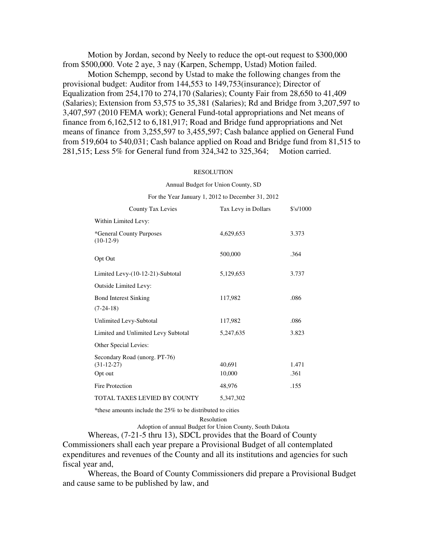Motion by Jordan, second by Neely to reduce the opt-out request to \$300,000 from \$500,000. Vote 2 aye, 3 nay (Karpen, Schempp, Ustad) Motion failed.

 Motion Schempp, second by Ustad to make the following changes from the provisional budget: Auditor from 144,553 to 149,753(insurance); Director of Equalization from 254,170 to 274,170 (Salaries); County Fair from 28,650 to 41,409 (Salaries); Extension from 53,575 to 35,381 (Salaries); Rd and Bridge from 3,207,597 to 3,407,597 (2010 FEMA work); General Fund-total appropriations and Net means of finance from 6,162,512 to 6,181,917; Road and Bridge fund appropriations and Net means of finance from 3,255,597 to 3,455,597; Cash balance applied on General Fund from 519,604 to 540,031; Cash balance applied on Road and Bridge fund from 81,515 to 281,515; Less 5% for General fund from 324,342 to 325,364; Motion carried.

#### RESOLUTION

Annual Budget for Union County, SD

#### For the Year January 1, 2012 to December 31, 2012

| <b>County Tax Levies</b>                      | Tax Levy in Dollars | \$'s/1000 |
|-----------------------------------------------|---------------------|-----------|
| Within Limited Levy:                          |                     |           |
| *General County Purposes<br>$(10-12-9)$       | 4,629,653           | 3.373     |
| Opt Out                                       | 500,000             | .364      |
| Limited Levy-(10-12-21)-Subtotal              | 5,129,653           | 3.737     |
| Outside Limited Levy:                         |                     |           |
| <b>Bond Interest Sinking</b>                  | 117,982             | .086      |
| $(7-24-18)$                                   |                     |           |
| Unlimited Levy-Subtotal                       | 117,982             | .086      |
| Limited and Unlimited Levy Subtotal           | 5,247,635           | 3.823     |
| Other Special Levies:                         |                     |           |
| Secondary Road (unorg. PT-76)<br>$(31-12-27)$ | 40,691              | 1.471     |
| Opt out                                       | 10,000              | .361      |
| Fire Protection                               | 48,976              | .155      |
| TOTAL TAXES LEVIED BY COUNTY                  | 5,347,302           |           |

\*these amounts include the 25% to be distributed to cities

Resolution

Adoption of annual Budget for Union County, South Dakota

 Whereas, (7-21-5 thru 13), SDCL provides that the Board of County Commissioners shall each year prepare a Provisional Budget of all contemplated expenditures and revenues of the County and all its institutions and agencies for such fiscal year and,

 Whereas, the Board of County Commissioners did prepare a Provisional Budget and cause same to be published by law, and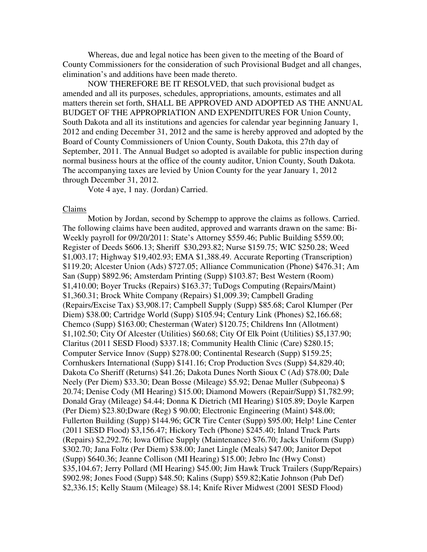Whereas, due and legal notice has been given to the meeting of the Board of County Commissioners for the consideration of such Provisional Budget and all changes, elimination's and additions have been made thereto.

 NOW THEREFORE BE IT RESOLVED, that such provisional budget as amended and all its purposes, schedules, appropriations, amounts, estimates and all matters therein set forth, SHALL BE APPROVED AND ADOPTED AS THE ANNUAL BUDGET OF THE APPROPRIATION AND EXPENDITURES FOR Union County, South Dakota and all its institutions and agencies for calendar year beginning January 1, 2012 and ending December 31, 2012 and the same is hereby approved and adopted by the Board of County Commissioners of Union County, South Dakota, this 27th day of September, 2011. The Annual Budget so adopted is available for public inspection during normal business hours at the office of the county auditor, Union County, South Dakota. The accompanying taxes are levied by Union County for the year January 1, 2012 through December 31, 2012.

Vote 4 aye, 1 nay. (Jordan) Carried.

#### Claims

 Motion by Jordan, second by Schempp to approve the claims as follows. Carried. The following claims have been audited, approved and warrants drawn on the same: Bi-Weekly payroll for 09/20/2011: State's Attorney \$559.46; Public Building \$559.00; Register of Deeds \$606.13; Sheriff \$30,293.82; Nurse \$159.75; WIC \$250.28; Weed \$1,003.17; Highway \$19,402.93; EMA \$1,388.49. Accurate Reporting (Transcription) \$119.20; Alcester Union (Ads) \$727.05; Alliance Communication (Phone) \$476.31; Am San (Supp) \$892.96; Amsterdam Printing (Supp) \$103.87; Best Western (Room) \$1,410.00; Boyer Trucks (Repairs) \$163.37; TuDogs Computing (Repairs/Maint) \$1,360.31; Brock White Company (Repairs) \$1,009.39; Campbell Grading (Repairs/Excise Tax) \$3,908.17; Campbell Supply (Supp) \$85.68; Carol Klumper (Per Diem) \$38.00; Cartridge World (Supp) \$105.94; Century Link (Phones) \$2,166.68; Chemco (Supp) \$163.00; Chesterman (Water) \$120.75; Childrens Inn (Allotment) \$1,102.50; City Of Alcester (Utilities) \$60.68; City Of Elk Point (Utilities) \$5,137.90; Claritus (2011 SESD Flood) \$337.18; Community Health Clinic (Care) \$280.15; Computer Service Innov (Supp) \$278.00; Continental Research (Supp) \$159.25; Cornhuskers International (Supp) \$141.16; Crop Production Svcs (Supp) \$4,829.40; Dakota Co Sheriff (Returns) \$41.26; Dakota Dunes North Sioux C (Ad) \$78.00; Dale Neely (Per Diem) \$33.30; Dean Bosse (Mileage) \$5.92; Denae Muller (Subpeona) \$ 20.74; Denise Cody (MI Hearing) \$15.00; Diamond Mowers (Repair/Supp) \$1,782.99; Donald Gray (Mileage) \$4.44; Donna K Dietrich (MI Hearing) \$105.89; Doyle Karpen (Per Diem) \$23.80;Dware (Reg) \$ 90.00; Electronic Engineering (Maint) \$48.00; Fullerton Building (Supp) \$144.96; GCR Tire Center (Supp) \$95.00; Help! Line Center (2011 SESD Flood) \$3,156.47; Hickory Tech (Phone) \$245.40; Inland Truck Parts (Repairs) \$2,292.76; Iowa Office Supply (Maintenance) \$76.70; Jacks Uniform (Supp) \$302.70; Jana Foltz (Per Diem) \$38.00; Janet Lingle (Meals) \$47.00; Janitor Depot (Supp) \$640.36; Jeanne Collison (MI Hearing) \$15.00; Jebro Inc (Hwy Const) \$35,104.67; Jerry Pollard (MI Hearing) \$45.00; Jim Hawk Truck Trailers (Supp/Repairs) \$902.98; Jones Food (Supp) \$48.50; Kalins (Supp) \$59.82;Katie Johnson (Pub Def) \$2,336.15; Kelly Staum (Mileage) \$8.14; Knife River Midwest (2001 SESD Flood)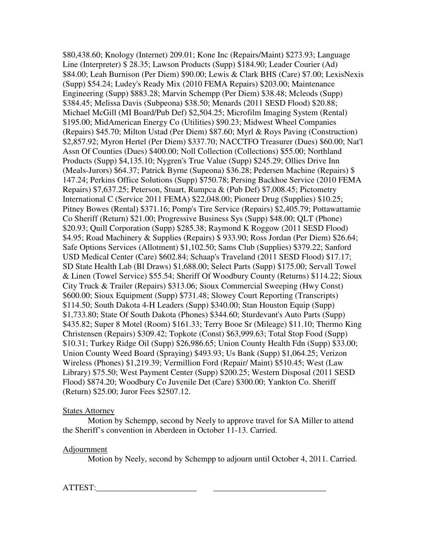\$80,438.60; Knology (Internet) 209.01; Kone Inc (Repairs/Maint) \$273.93; Language Line (Interpreter) \$ 28.35; Lawson Products (Supp) \$184.90; Leader Courier (Ad) \$84.00; Leah Burnison (Per Diem) \$90.00; Lewis & Clark BHS (Care) \$7.00; LexisNexis (Supp) \$54.24; Ludey's Ready Mix (2010 FEMA Repairs) \$203.00; Maintenance Engineering (Supp) \$883.28; Marvin Schempp (Per Diem) \$38.48; Mcleods (Supp) \$384.45; Melissa Davis (Subpeona) \$38.50; Menards (2011 SESD Flood) \$20.88; Michael McGill (MI Board/Pub Def) \$2,504.25; Microfilm Imaging System (Rental) \$195.00; MidAmerican Energy Co (Utilities) \$90.23; Midwest Wheel Companies (Repairs) \$45.70; Milton Ustad (Per Diem) \$87.60; Myrl & Roys Paving (Construction) \$2,857.92; Myron Hertel (Per Diem) \$337.70; NACCTFO Treasurer (Dues) \$60.00; Nat'l Assn Of Counties (Dues) \$400.00; Noll Collection (Collections) \$55.00; Northland Products (Supp) \$4,135.10; Nygren's True Value (Supp) \$245.29; Ollies Drive Inn (Meals-Jurors) \$64.37; Patrick Byrne (Supeona) \$36.28; Pedersen Machine (Repairs) \$ 147.24; Perkins Office Solutions (Supp) \$750.78; Persing Backhoe Service (2010 FEMA Repairs) \$7,637.25; Peterson, Stuart, Rumpca & (Pub Def) \$7,008.45; Pictometry International C (Service 2011 FEMA) \$22,048.00; Pioneer Drug (Supplies) \$10.25; Pitney Bowes (Rental) \$371.16; Pomp's Tire Service (Repairs) \$2,405.79; Pottawattamie Co Sheriff (Return) \$21.00; Progressive Business Sys (Supp) \$48.00; QLT (Phone) \$20.93; Quill Corporation (Supp) \$285.38; Raymond K Roggow (2011 SESD Flood) \$4.95; Road Machinery & Supplies (Repairs) \$ 933.90; Ross Jordan (Per Diem) \$26.64; Safe Options Services (Allotment) \$1,102.50; Sams Club (Supplies) \$379.22; Sanford USD Medical Center (Care) \$602.84; Schaap's Traveland (2011 SESD Flood) \$17.17; SD State Health Lab (Bl Draws) \$1,688.00; Select Parts (Supp) \$175.00; Servall Towel & Linen (Towel Service) \$55.54; Sheriff Of Woodbury County (Returns) \$114.22; Sioux City Truck & Trailer (Repairs) \$313.06; Sioux Commercial Sweeping (Hwy Const) \$600.00; Sioux Equipment (Supp) \$731.48; Slowey Court Reporting (Transcripts) \$114.50; South Dakota 4-H Leaders (Supp) \$340.00; Stan Houston Equip (Supp) \$1,733.80; State Of South Dakota (Phones) \$344.60; Sturdevant's Auto Parts (Supp) \$435.82; Super 8 Motel (Room) \$161.33; Terry Booe Sr (Mileage) \$11.10; Thermo King Christensen (Repairs) \$309.42; Topkote (Const) \$63,999.63; Total Stop Food (Supp) \$10.31; Turkey Ridge Oil (Supp) \$26,986.65; Union County Health Fdn (Supp) \$33.00; Union County Weed Board (Spraying) \$493.93; Us Bank (Supp) \$1,064.25; Verizon Wireless (Phones) \$1,219.39; Vermillion Ford (Repair/ Maint) \$510.45; West (Law Library) \$75.50; West Payment Center (Supp) \$200.25; Western Disposal (2011 SESD Flood) \$874.20; Woodbury Co Juvenile Det (Care) \$300.00; Yankton Co. Sheriff (Return) \$25.00; Juror Fees \$2507.12.

# States Attorney

 Motion by Schempp, second by Neely to approve travel for SA Miller to attend the Sheriff's convention in Aberdeen in October 11-13. Carried.

## Adjournment

Motion by Neely, second by Schempp to adjourn until October 4, 2011. Carried.

ATTEST: